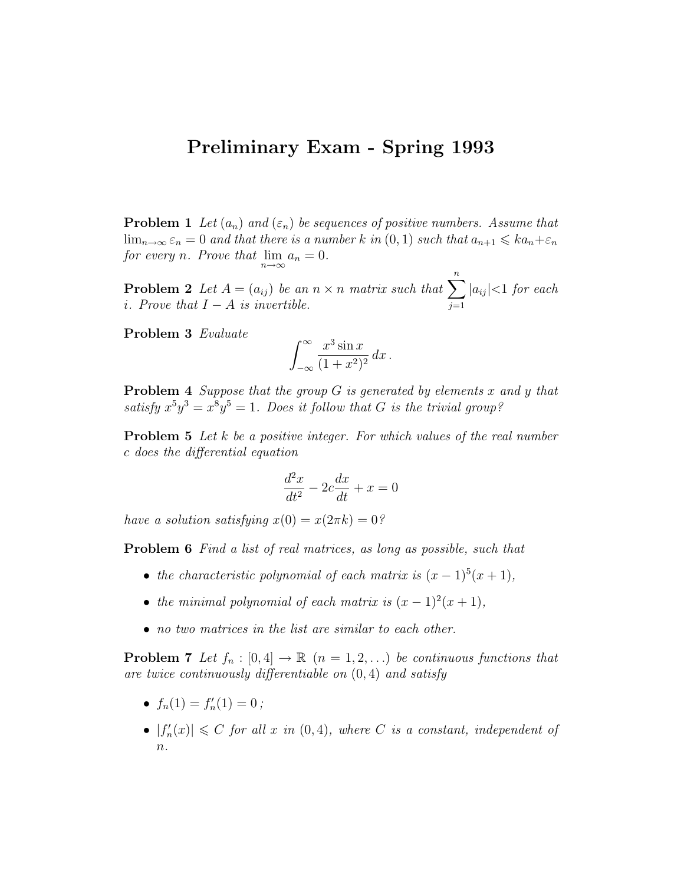## Preliminary Exam - Spring 1993

**Problem 1** Let  $(a_n)$  and  $(\varepsilon_n)$  be sequences of positive numbers. Assume that  $\lim_{n\to\infty} \varepsilon_n = 0$  and that there is a number k in  $(0,1)$  such that  $a_{n+1} \leqslant ka_n + \varepsilon_n$ for every n. Prove that  $\lim_{n\to\infty} a_n = 0$ .

**Problem 2** Let  $A = (a_{ij})$  be an  $n \times n$  matrix such that  $\sum_{i=1}^{n}$  $j=1$  $|a_{ij}|<1$  for each i. Prove that  $I - A$  is invertible.

Problem 3 Evaluate

$$
\int_{-\infty}^{\infty} \frac{x^3 \sin x}{(1+x^2)^2} dx.
$$

**Problem 4** Suppose that the group  $G$  is generated by elements x and y that satisfy  $x^5y^3 = x^8y^5 = 1$ . Does it follow that G is the trivial group?

**Problem 5** Let k be a positive integer. For which values of the real number c does the differential equation

$$
\frac{d^2x}{dt^2} - 2c\frac{dx}{dt} + x = 0
$$

have a solution satisfying  $x(0) = x(2\pi k) = 0$ ?

Problem 6 Find a list of real matrices, as long as possible, such that

- the characteristic polynomial of each matrix is  $(x 1)^5(x + 1)$ ,
- the minimal polynomial of each matrix is  $(x 1)^2(x + 1)$ ,
- no two matrices in the list are similar to each other.

**Problem 7** Let  $f_n : [0, 4] \to \mathbb{R}$   $(n = 1, 2, ...)$  be continuous functions that are twice continuously differentiable on  $(0, 4)$  and satisfy

- $f_n(1) = f'_n(1) = 0;$
- $|f'_n(x)| \leq C$  for all x in  $(0, 4)$ , where C is a constant, independent of  $n$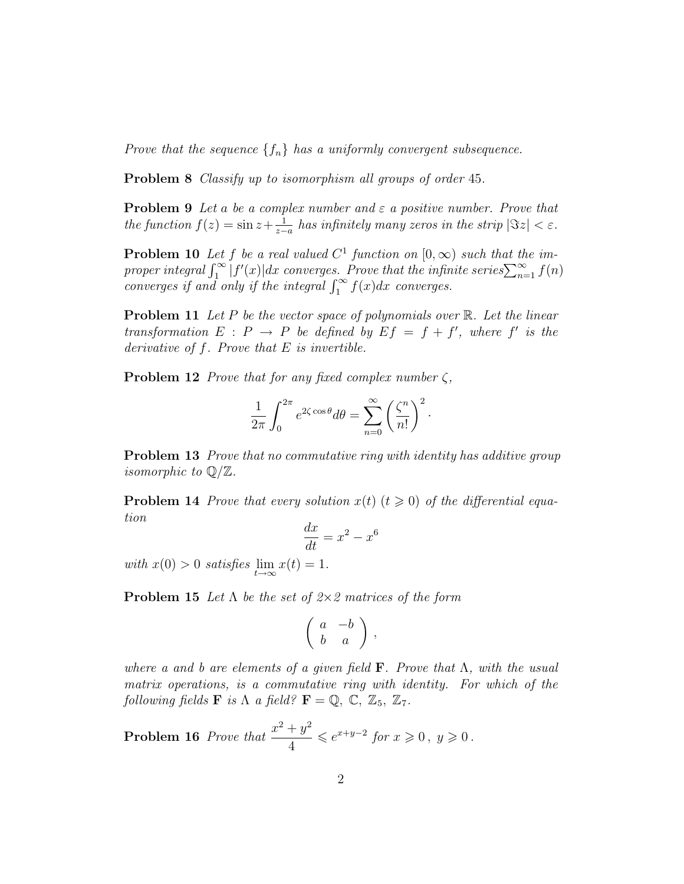Prove that the sequence  $\{f_n\}$  has a uniformly convergent subsequence.

Problem 8 Classify up to isomorphism all groups of order 45.

**Problem 9** Let a be a complex number and  $\varepsilon$  a positive number. Prove that the function  $f(z) = \sin z + \frac{1}{z}$  $\frac{1}{z-a}$  has infinitely many zeros in the strip  $|\Im z| < \varepsilon$ .

**Problem 10** Let f be a real valued  $C^1$  function on  $[0, \infty)$  such that the improper integral  $\int_1^{\infty} |f'(x)| dx$  converges. Prove that the infinite series  $\sum_{n=1}^{\infty} f(n)$ converges if and only if the integral  $\int_1^\infty f(x)dx$  converges.

**Problem 11** Let P be the vector space of polynomials over  $\mathbb{R}$ . Let the linear transformation  $E : P \to P$  be defined by  $Ef = f + f'$ , where f' is the derivative of  $f$ . Prove that  $E$  is invertible.

**Problem 12** Prove that for any fixed complex number  $\zeta$ ,

$$
\frac{1}{2\pi} \int_0^{2\pi} e^{2\zeta \cos \theta} d\theta = \sum_{n=0}^\infty \left(\frac{\zeta^n}{n!}\right)^2.
$$

**Problem 13** Prove that no commutative ring with identity has additive group *isomorphic to*  $\mathbb{Q}/\mathbb{Z}$ .

**Problem 14** Prove that every solution  $x(t)$  ( $t \ge 0$ ) of the differential equation

$$
\frac{dx}{dt} = x^2 - x^6
$$

with  $x(0) > 0$  satisfies  $\lim_{t \to \infty} x(t) = 1$ .

**Problem 15** Let  $\Lambda$  be the set of  $2 \times 2$  matrices of the form

$$
\left(\begin{array}{cc}a & -b \\ b & a \end{array}\right) ,
$$

where a and b are elements of a given field **F**. Prove that  $\Lambda$ , with the usual matrix operations, is a commutative ring with identity. For which of the following fields **F** is  $\Lambda$  a field?  $\mathbf{F} = \mathbb{Q}, \mathbb{C}, \mathbb{Z}_5, \mathbb{Z}_7$ .

**Problem 16** Prove that  $\frac{x^2 + y^2}{4}$ 4  $\leqslant e^{x+y-2}$  for  $x \geqslant 0, y \geqslant 0$ .